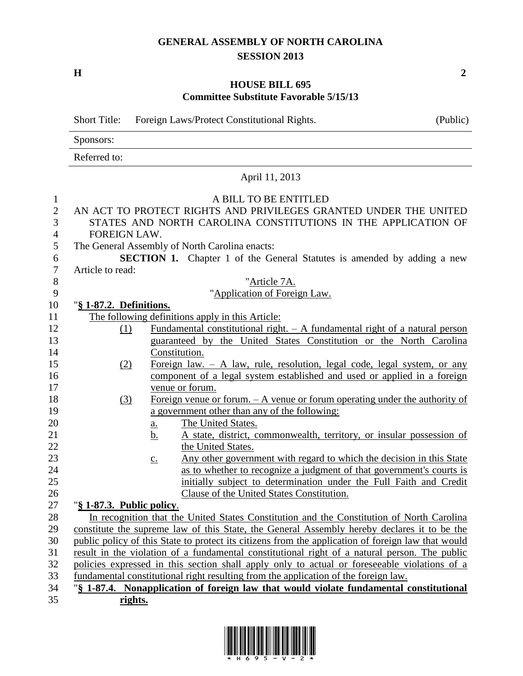## **GENERAL ASSEMBLY OF NORTH CAROLINA SESSION 2013**

**H 2**

## **HOUSE BILL 695 Committee Substitute Favorable 5/15/13**

| <b>Short Title:</b><br>Foreign Laws/Protect Constitutional Rights.                                                                                                                                            | (Public) |
|---------------------------------------------------------------------------------------------------------------------------------------------------------------------------------------------------------------|----------|
| Sponsors:                                                                                                                                                                                                     |          |
| Referred to:                                                                                                                                                                                                  |          |
| April 11, 2013                                                                                                                                                                                                |          |
| A BILL TO BE ENTITLED<br>$\mathbf{1}$                                                                                                                                                                         |          |
| $\mathbf{2}$<br>AN ACT TO PROTECT RIGHTS AND PRIVILEGES GRANTED UNDER THE UNITED                                                                                                                              |          |
| 3<br>STATES AND NORTH CAROLINA CONSTITUTIONS IN THE APPLICATION OF                                                                                                                                            |          |
| FOREIGN LAW.<br>4                                                                                                                                                                                             |          |
| 5<br>The General Assembly of North Carolina enacts:                                                                                                                                                           |          |
| 6<br><b>SECTION 1.</b> Chapter 1 of the General Statutes is amended by adding a new                                                                                                                           |          |
| $\boldsymbol{7}$<br>Article to read:                                                                                                                                                                          |          |
| $8\,$<br>"Article 7A.                                                                                                                                                                                         |          |
| 9<br>"Application of Foreign Law.                                                                                                                                                                             |          |
| 10<br>"§ 1-87.2. Definitions.                                                                                                                                                                                 |          |
| The following definitions apply in this Article:<br>11                                                                                                                                                        |          |
| 12<br>Fundamental constitutional right. $- A$ fundamental right of a natural person<br>(1)                                                                                                                    |          |
| 13<br>guaranteed by the United States Constitution or the North Carolina                                                                                                                                      |          |
| 14<br>Constitution.                                                                                                                                                                                           |          |
| 15<br>Foreign law. $- A$ law, rule, resolution, legal code, legal system, or any<br>(2)                                                                                                                       |          |
| 16<br>component of a legal system established and used or applied in a foreign                                                                                                                                |          |
| 17<br>venue or forum.                                                                                                                                                                                         |          |
| 18<br>Foreign venue or forum. $- A$ venue or forum operating under the authority of<br>(3)                                                                                                                    |          |
| 19<br>a government other than any of the following:                                                                                                                                                           |          |
| 20<br>The United States.<br>$\underline{a}$ .                                                                                                                                                                 |          |
| 21<br>A state, district, commonwealth, territory, or insular possession of<br><u>b.</u>                                                                                                                       |          |
| 22<br>the United States.                                                                                                                                                                                      |          |
| 23<br>Any other government with regard to which the decision in this State<br>$\underline{c}$ .                                                                                                               |          |
| 24<br>as to whether to recognize a judgment of that government's courts is                                                                                                                                    |          |
| initially subject to determination under the Full Faith and Credit<br>25                                                                                                                                      |          |
| 26<br><b>Clause of the United States Constitution.</b>                                                                                                                                                        |          |
| 27<br>"§ 1-87.3. Public policy.                                                                                                                                                                               |          |
| 28<br>In recognition that the United States Constitution and the Constitution of North Carolina                                                                                                               |          |
| 29<br>constitute the supreme law of this State, the General Assembly hereby declares it to be the<br>30<br>public policy of this State to protect its citizens from the application of foreign law that would |          |
| 31<br>result in the violation of a fundamental constitutional right of a natural person. The public                                                                                                           |          |
| 32<br>policies expressed in this section shall apply only to actual or foreseeable violations of a                                                                                                            |          |
| 33<br>fundamental constitutional right resulting from the application of the foreign law.                                                                                                                     |          |
| 34<br>"§ 1-87.4. Nonapplication of foreign law that would violate fundamental constitutional                                                                                                                  |          |
| 35<br>rights.                                                                                                                                                                                                 |          |